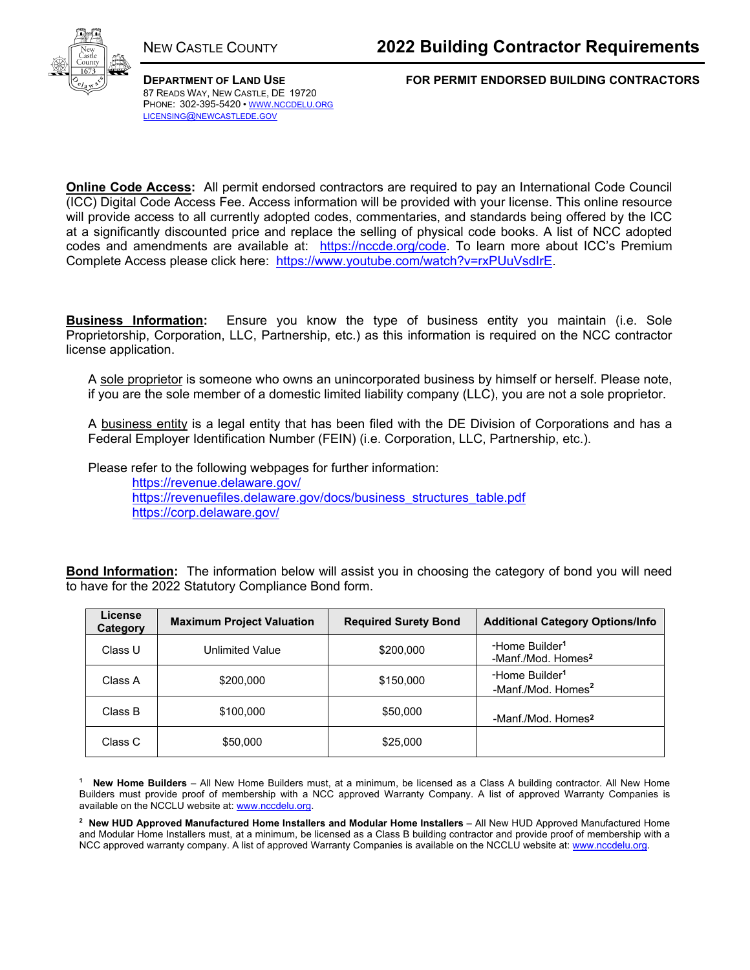

87 READS WAY, NEW CASTLE, DE 19720 PHONE: 302-395-5420 • WWW.NCCDELU.ORG LICENSING@NEWCASTLEDE.GOV

**DEPARTMENT OF LAND USE FOR PERMIT ENDORSED BUILDING CONTRACTORS**

**Online Code Access:** All permit endorsed contractors are required to pay an International Code Council (ICC) Digital Code Access Fee. Access information will be provided with your license. This online resource will provide access to all currently adopted codes, commentaries, and standards being offered by the ICC at a significantly discounted price and replace the selling of physical code books. A list of NCC adopted codes and amendments are available at: https://nccde.org/code. To learn more about ICC's Premium Complete Access please click here: https://www.youtube.com/watch?v=rxPUuVsdIrE.

**Business Information:** Ensure you know the type of business entity you maintain (i.e. Sole Proprietorship, Corporation, LLC, Partnership, etc.) as this information is required on the NCC contractor license application.

A sole proprietor is someone who owns an unincorporated business by himself or herself. Please note, if you are the sole member of a domestic limited liability company (LLC), you are not a sole proprietor.

A business entity is a legal entity that has been filed with the DE Division of Corporations and has a Federal Employer Identification Number (FEIN) (i.e. Corporation, LLC, Partnership, etc.).

Please refer to the following webpages for further information:

https://revenue.delaware.gov/ https://revenuefiles.delaware.gov/docs/business\_structures\_table.pdf https://corp.delaware.gov/

**Bond Information:** The information below will assist you in choosing the category of bond you will need to have for the 2022 Statutory Compliance Bond form.

| License<br>Category | <b>Maximum Project Valuation</b> | <b>Required Surety Bond</b> | <b>Additional Category Options/Info</b>                      |
|---------------------|----------------------------------|-----------------------------|--------------------------------------------------------------|
| Class U             | Unlimited Value                  | \$200,000                   | -Home Builder <sup>1</sup><br>-Manf./Mod. Homes <sup>2</sup> |
| Class A             | \$200,000                        | \$150,000                   | -Home Builder <sup>1</sup><br>-Manf./Mod. Homes <sup>2</sup> |
| Class B             | \$100,000                        | \$50,000                    | -Manf./Mod. Homes <sup>2</sup>                               |
| Class C             | \$50,000                         | \$25,000                    |                                                              |

**1 New Home Builders** – All New Home Builders must, at a minimum, be licensed as a Class A building contractor. All New Home Builders must provide proof of membership with a NCC approved Warranty Company. A list of approved Warranty Companies is available on the NCCLU website at: www.nccdelu.org.

**2 New HUD Approved Manufactured Home Installers and Modular Home Installers** – All New HUD Approved Manufactured Home and Modular Home Installers must, at a minimum, be licensed as a Class B building contractor and provide proof of membership with a NCC approved warranty company. A list of approved Warranty Companies is available on the NCCLU website at: www.nccdelu.org.